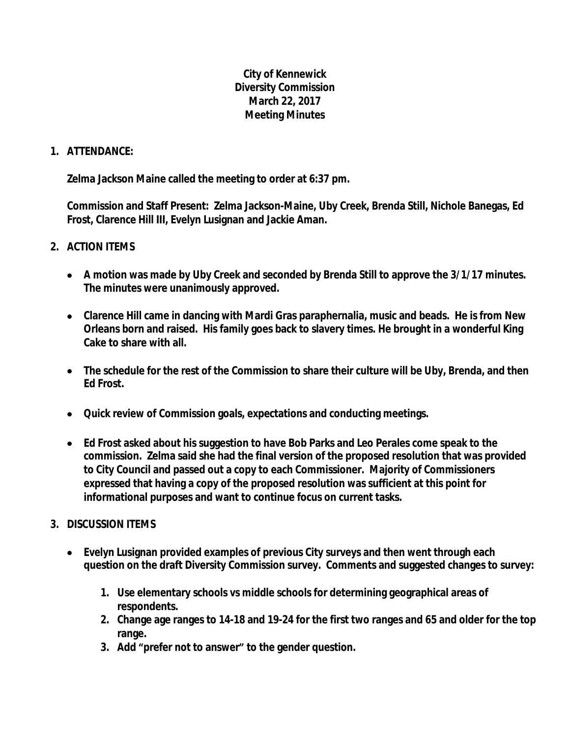## **City of Kennewick Diversity Commission March 22, 2017 Meeting Minutes**

## **1. ATTENDANCE:**

**Zelma Jackson Maine called the meeting to order at 6:37 pm.**

**Commission and Staff Present: Zelma Jackson-Maine, Uby Creek, Brenda Still, Nichole Banegas, Ed Frost, Clarence Hill III, Evelyn Lusignan and Jackie Aman.**

## **2. ACTION ITEMS**

- **A motion was made by Uby Creek and seconded by Brenda Still to approve the 3/1/17 minutes. The minutes were unanimously approved.**
- **Clarence Hill came in dancing with Mardi Gras paraphernalia, music and beads. He is from New Orleans born and raised. His family goes back to slavery times. He brought in a wonderful King Cake to share with all.**
- **The schedule for the rest of the Commission to share their culture will be Uby, Brenda, and then Ed Frost.**
- **Quick review of Commission goals, expectations and conducting meetings.**
- **Ed Frost asked about his suggestion to have Bob Parks and Leo Perales come speak to the commission. Zelma said she had the final version of the proposed resolution that was provided to City Council and passed out a copy to each Commissioner. Majority of Commissioners expressed that having a copy of the proposed resolution was sufficient at this point for informational purposes and want to continue focus on current tasks.**

## **3. DISCUSSION ITEMS**

- **Evelyn Lusignan provided examples of previous City surveys and then went through each question on the draft Diversity Commission survey. Comments and suggested changes to survey:**
	- **1. Use elementary schools vs middle schools for determining geographical areas of respondents.**
	- **2. Change age ranges to 14-18 and 19-24 for the first two ranges and 65 and older for the top range.**
	- **3. Add "prefer not to answer" to the gender question.**